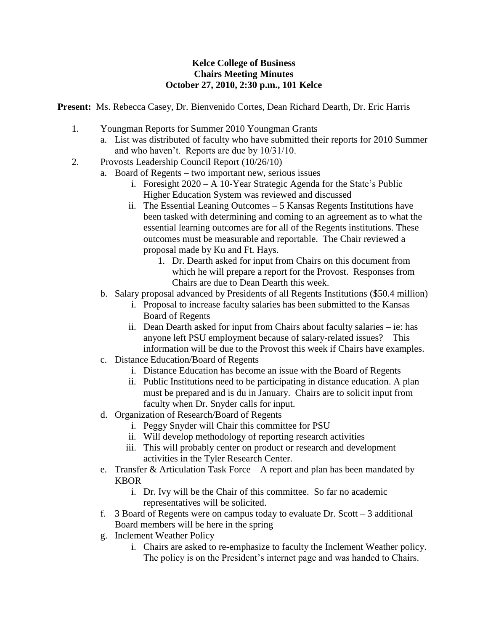## **Kelce College of Business Chairs Meeting Minutes October 27, 2010, 2:30 p.m., 101 Kelce**

**Present:** Ms. Rebecca Casey, Dr. Bienvenido Cortes, Dean Richard Dearth, Dr. Eric Harris

- 1. Youngman Reports for Summer 2010 Youngman Grants
	- a. List was distributed of faculty who have submitted their reports for 2010 Summer and who haven't. Reports are due by 10/31/10.
- 2. Provosts Leadership Council Report (10/26/10)
	- a. Board of Regents two important new, serious issues
		- i. Foresight 2020 A 10-Year Strategic Agenda for the State's Public Higher Education System was reviewed and discussed
		- ii. The Essential Leaning Outcomes 5 Kansas Regents Institutions have been tasked with determining and coming to an agreement as to what the essential learning outcomes are for all of the Regents institutions. These outcomes must be measurable and reportable. The Chair reviewed a proposal made by Ku and Ft. Hays.
			- 1. Dr. Dearth asked for input from Chairs on this document from which he will prepare a report for the Provost. Responses from Chairs are due to Dean Dearth this week.
	- b. Salary proposal advanced by Presidents of all Regents Institutions (\$50.4 million)
		- i. Proposal to increase faculty salaries has been submitted to the Kansas Board of Regents
		- ii. Dean Dearth asked for input from Chairs about faculty salaries ie: has anyone left PSU employment because of salary-related issues? This information will be due to the Provost this week if Chairs have examples.
	- c. Distance Education/Board of Regents
		- i. Distance Education has become an issue with the Board of Regents
		- ii. Public Institutions need to be participating in distance education. A plan must be prepared and is du in January. Chairs are to solicit input from faculty when Dr. Snyder calls for input.
	- d. Organization of Research/Board of Regents
		- i. Peggy Snyder will Chair this committee for PSU
		- ii. Will develop methodology of reporting research activities
		- iii. This will probably center on product or research and development activities in the Tyler Research Center.
	- e. Transfer & Articulation Task Force A report and plan has been mandated by KBOR
		- i. Dr. Ivy will be the Chair of this committee. So far no academic representatives will be solicited.
	- f. 3 Board of Regents were on campus today to evaluate Dr. Scott 3 additional Board members will be here in the spring
	- g. Inclement Weather Policy
		- i. Chairs are asked to re-emphasize to faculty the Inclement Weather policy. The policy is on the President's internet page and was handed to Chairs.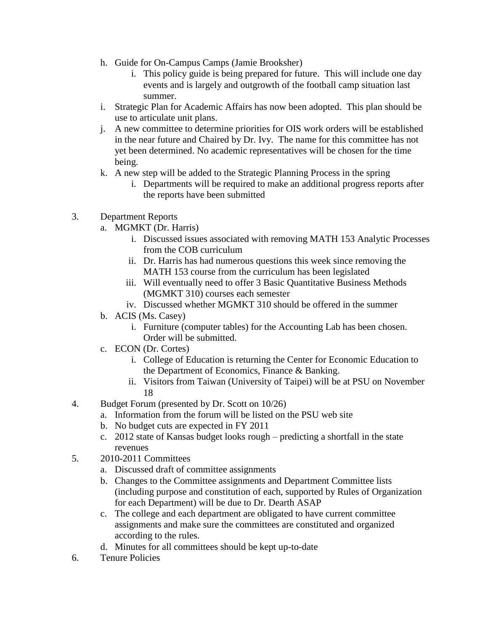- h. Guide for On-Campus Camps (Jamie Brooksher)
	- i. This policy guide is being prepared for future. This will include one day events and is largely and outgrowth of the football camp situation last summer.
- i. Strategic Plan for Academic Affairs has now been adopted. This plan should be use to articulate unit plans.
- j. A new committee to determine priorities for OIS work orders will be established in the near future and Chaired by Dr. Ivy. The name for this committee has not yet been determined. No academic representatives will be chosen for the time being.
- k. A new step will be added to the Strategic Planning Process in the spring
	- i. Departments will be required to make an additional progress reports after the reports have been submitted
- 3. Department Reports
	- a. MGMKT (Dr. Harris)
		- i. Discussed issues associated with removing MATH 153 Analytic Processes from the COB curriculum
		- ii. Dr. Harris has had numerous questions this week since removing the MATH 153 course from the curriculum has been legislated
		- iii. Will eventually need to offer 3 Basic Quantitative Business Methods (MGMKT 310) courses each semester
		- iv. Discussed whether MGMKT 310 should be offered in the summer
	- b. ACIS (Ms. Casey)
		- i. Furniture (computer tables) for the Accounting Lab has been chosen. Order will be submitted.
	- c. ECON (Dr. Cortes)
		- i. College of Education is returning the Center for Economic Education to the Department of Economics, Finance & Banking.
		- ii. Visitors from Taiwan (University of Taipei) will be at PSU on November 18
- 4. Budget Forum (presented by Dr. Scott on 10/26)
	- a. Information from the forum will be listed on the PSU web site
	- b. No budget cuts are expected in FY 2011
	- c. 2012 state of Kansas budget looks rough predicting a shortfall in the state revenues
- 5. 2010-2011 Committees
	- a. Discussed draft of committee assignments
	- b. Changes to the Committee assignments and Department Committee lists (including purpose and constitution of each, supported by Rules of Organization for each Department) will be due to Dr. Dearth ASAP
	- c. The college and each department are obligated to have current committee assignments and make sure the committees are constituted and organized according to the rules.
	- d. Minutes for all committees should be kept up-to-date
- 6. Tenure Policies